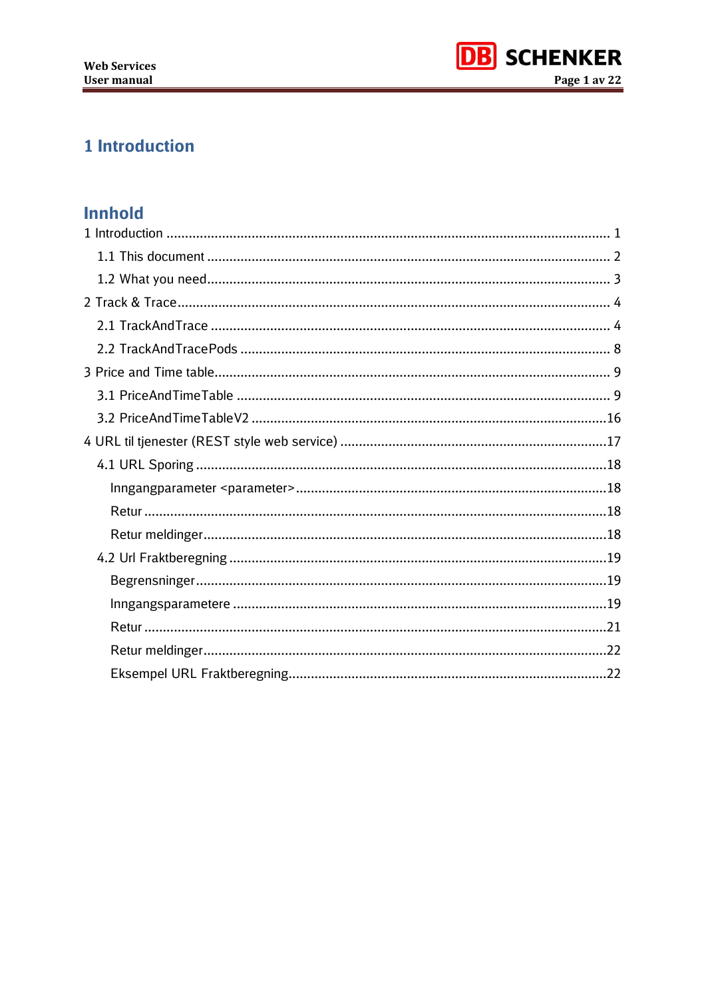

# <span id="page-0-0"></span>1 Introduction

## **Innhold**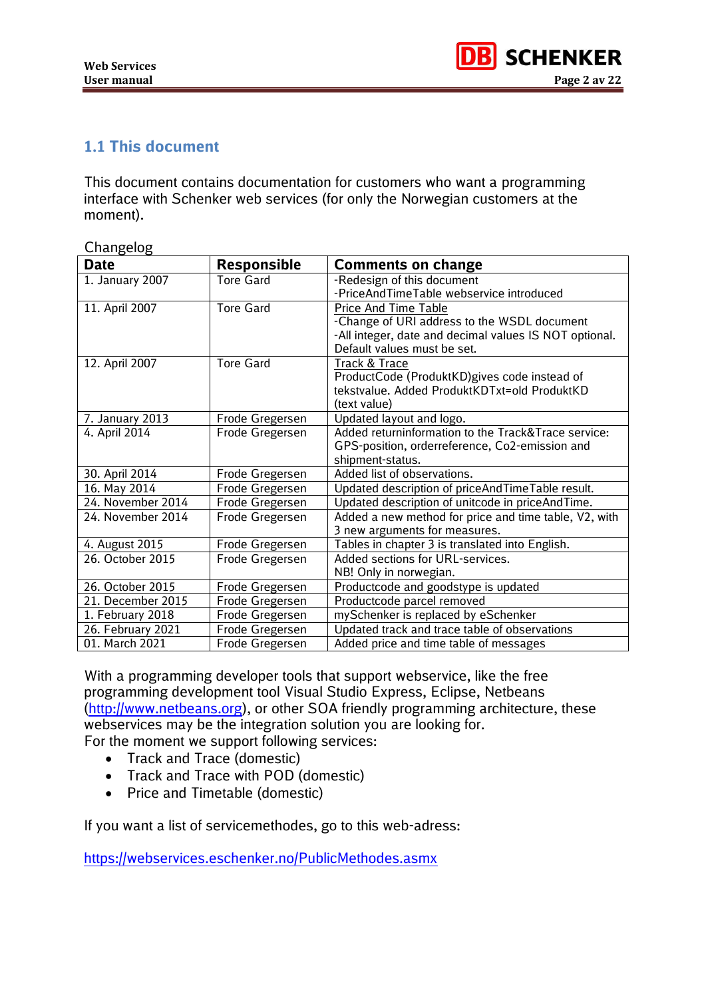

### <span id="page-1-0"></span>**1.1 This document**

This document contains documentation for customers who want a programming interface with Schenker web services (for only the Norwegian customers at the moment).

| Changelog         |                    |                                                        |
|-------------------|--------------------|--------------------------------------------------------|
| <b>Date</b>       | <b>Responsible</b> | <b>Comments on change</b>                              |
| 1. January 2007   | <b>Tore Gard</b>   | -Redesign of this document                             |
|                   |                    | -PriceAndTimeTable webservice introduced               |
| 11. April 2007    | <b>Tore Gard</b>   | <b>Price And Time Table</b>                            |
|                   |                    | -Change of URI address to the WSDL document            |
|                   |                    | -All integer, date and decimal values IS NOT optional. |
|                   |                    | Default values must be set.                            |
| 12. April 2007    | <b>Tore Gard</b>   | Track & Trace                                          |
|                   |                    | ProductCode (ProduktKD) gives code instead of          |
|                   |                    | tekstvalue. Added ProduktKDTxt=old ProduktKD           |
|                   |                    | (text value)                                           |
| 7. January 2013   | Frode Gregersen    | Updated layout and logo.                               |
| 4. April 2014     | Frode Gregersen    | Added returninformation to the Track&Trace service:    |
|                   |                    | GPS-position, orderreference, Co2-emission and         |
|                   |                    | shipment-status.                                       |
| 30. April 2014    | Frode Gregersen    | Added list of observations.                            |
| 16. May 2014      | Frode Gregersen    | Updated description of priceAndTimeTable result.       |
| 24. November 2014 | Frode Gregersen    | Updated description of unitcode in priceAndTime.       |
| 24. November 2014 | Frode Gregersen    | Added a new method for price and time table, V2, with  |
|                   |                    | 3 new arguments for measures.                          |
| 4. August 2015    | Frode Gregersen    | Tables in chapter 3 is translated into English.        |
| 26. October 2015  | Frode Gregersen    | Added sections for URL-services.                       |
|                   |                    | NB! Only in norwegian.                                 |
| 26. October 2015  | Frode Gregersen    | Productcode and goodstype is updated                   |
| 21. December 2015 | Frode Gregersen    | Productcode parcel removed                             |
| 1. February 2018  | Frode Gregersen    | mySchenker is replaced by eSchenker                    |
| 26. February 2021 | Frode Gregersen    | Updated track and trace table of observations          |
| 01. March 2021    | Frode Gregersen    | Added price and time table of messages                 |

With a programming developer tools that support webservice, like the free programming development tool Visual Studio Express, Eclipse, Netbeans [\(http://www.netbeans.org\)](http://www.netbeans.org/), or other SOA friendly programming architecture, these webservices may be the integration solution you are looking for. For the moment we support following services:

- Track and Trace (domestic)
- Track and Trace with POD (domestic)
- Price and Timetable (domestic)

If you want a list of servicemethodes, go to this web-adress:

<https://webservices.eschenker.no/PublicMethodes.asmx>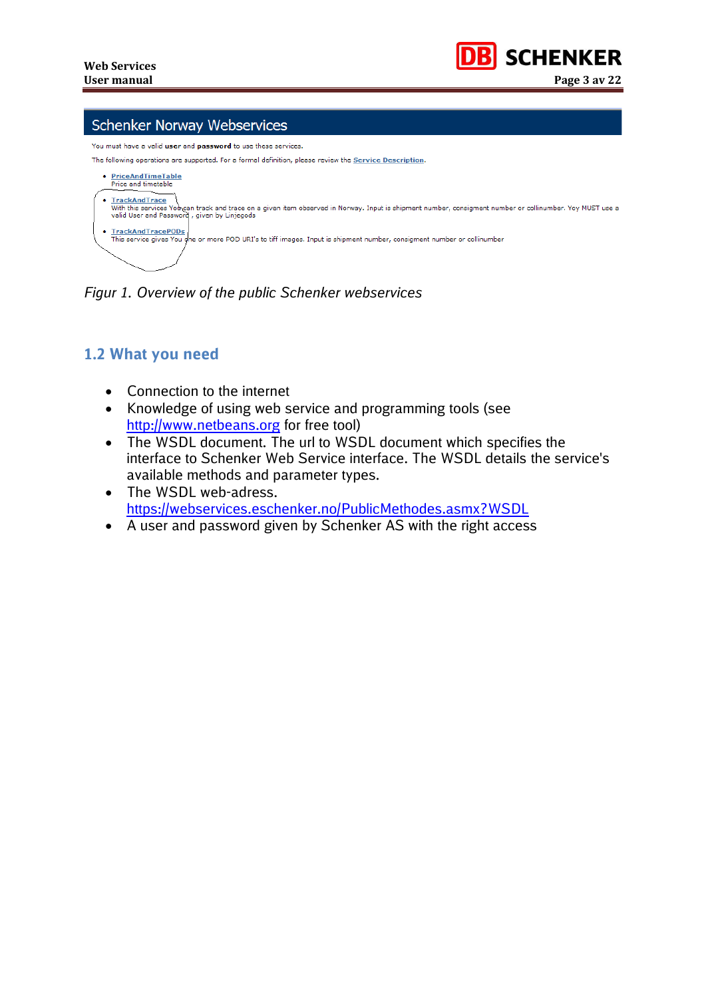

#### **Schenker Norway Webservices**

nust have a valid **user** and **password** to use these services.



*Figur 1. Overview of the public Schenker webservices*

### <span id="page-2-0"></span>**1.2 What you need**

- Connection to the internet
- Knowledge of using web service and programming tools (see [http://www.netbeans.org](http://www.netbeans.org/) for free tool)
- The WSDL document. The url to WSDL document which specifies the interface to Schenker Web Service interface. The WSDL details the service's available methods and parameter types.
- The WSDL web-adress. <https://webservices.eschenker.no/PublicMethodes.asmx?WSDL>
- A user and password given by Schenker AS with the right access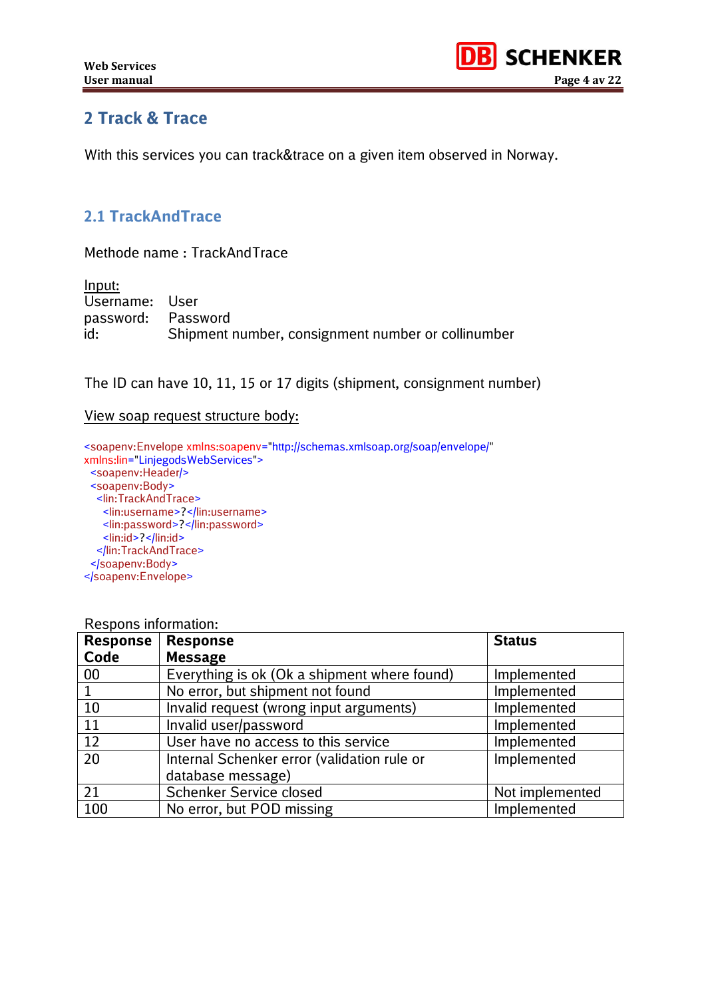

## <span id="page-3-0"></span>**2 Track & Trace**

With this services you can track&trace on a given item observed in Norway.

### <span id="page-3-1"></span>**2.1 TrackAndTrace**

Methode name : TrackAndTrace

| Input:             |                                                    |
|--------------------|----------------------------------------------------|
| Username: User     |                                                    |
| password: Password |                                                    |
| id:                | Shipment number, consignment number or collinumber |

The ID can have 10, 11, 15 or 17 digits (shipment, consignment number)

#### View soap request structure body:

<soapenv:Envelope xmlns:soapenv="http://schemas.xmlsoap.org/soap/envelope/" xmlns:lin="LinjegodsWebServices"> <soapenv:Header/> <soapenv:Body> <lin:TrackAndTrace> <lin:username>?</lin:username> <lin:password>?</lin:password> <lin:id>?</lin:id> </lin:TrackAndTrace> </soapenv:Body> </soapenv:Envelope>

| <b>INCOPOLIS INTO INTEGRAT:</b> |                                              |                 |  |
|---------------------------------|----------------------------------------------|-----------------|--|
| <b>Response</b>                 | <b>Response</b>                              | <b>Status</b>   |  |
| Code                            | <b>Message</b>                               |                 |  |
| 00                              | Everything is ok (Ok a shipment where found) | Implemented     |  |
| 1                               | No error, but shipment not found             | Implemented     |  |
| 10                              | Invalid request (wrong input arguments)      | Implemented     |  |
| 11                              | Invalid user/password                        | Implemented     |  |
| 12                              | User have no access to this service          | Implemented     |  |
| 20                              | Internal Schenker error (validation rule or  | Implemented     |  |
|                                 | database message)                            |                 |  |
| 21                              | Schenker Service closed                      | Not implemented |  |
| 100                             | No error, but POD missing                    | Implemented     |  |

#### Respons information: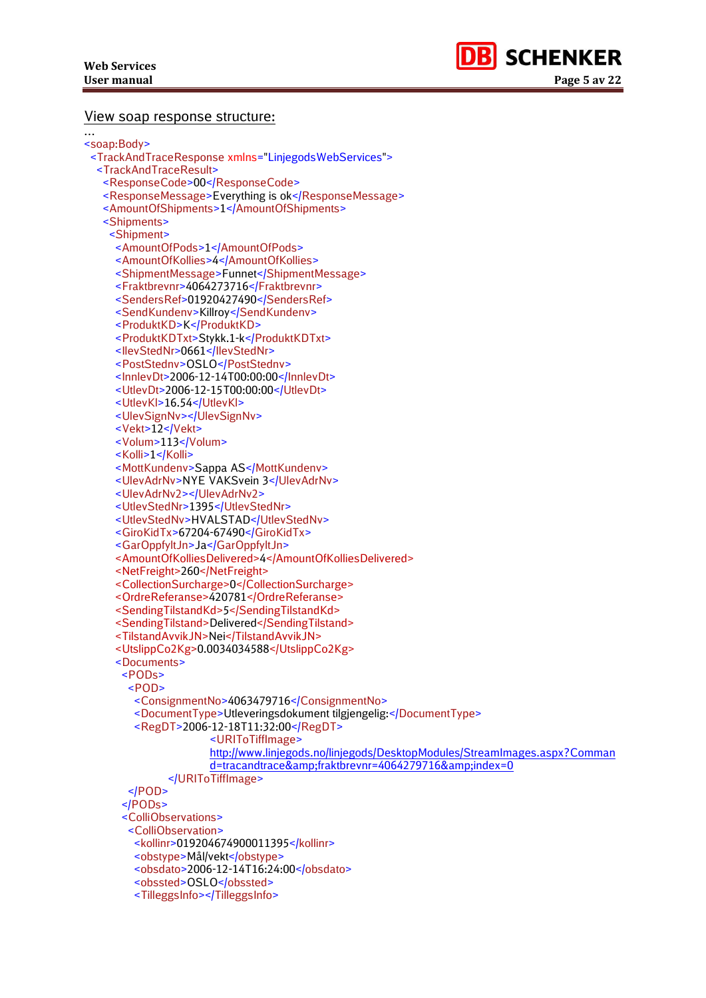…



#### View soap response structure:

```
<soap:Body>
<TrackAndTraceResponse xmlns="LinjegodsWebServices">
  <TrackAndTraceResult>
   <ResponseCode>00</ResponseCode>
   <ResponseMessage>Everything is ok</ResponseMessage>
  <AmountOfShipments>1</AmountOfShipments>
   <Shipments>
    <Shipment>
    <AmountOfPods>1</AmountOfPods>
    <AmountOfKollies>4</AmountOfKollies>
     <ShipmentMessage>Funnet</ShipmentMessage>
     <Fraktbrevnr>4064273716</Fraktbrevnr>
     <SendersRef>01920427490</SendersRef>
     <SendKundenv>Killroy</SendKundenv>
     <ProduktKD>K</ProduktKD>
     <ProduktKDTxt>Stykk.1-k</ProduktKDTxt>
    <IlevStedNr>0661</IlevStedNr>
     <PostStednv>OSLO</PostStednv>
     <InnlevDt>2006-12-14T00:00:00</InnlevDt>
     <UtlevDt>2006-12-15T00:00:00</UtlevDt>
    <UtlevKl>16.54</UtlevKl>
     <UlevSignNv></UlevSignNv>
     <Vekt>12</Vekt>
    <Volum>113</Volum>
    <Kolli>1</Kolli>
     <MottKundenv>Sappa AS</MottKundenv>
    <UlevAdrNv>NYE VAKSvein 3</UlevAdrNv>
     <UlevAdrNv2></UlevAdrNv2>
    <UtlevStedNr>1395</UtlevStedNr>
     <UtlevStedNv>HVALSTAD</UtlevStedNv>
    <GiroKidTx>67204-67490</GiroKidTx>
     <GarOppfyltJn>Ja</GarOppfyltJn>
     <AmountOfKolliesDelivered>4</AmountOfKolliesDelivered>
     <NetFreight>260</NetFreight>
     <CollectionSurcharge>0</CollectionSurcharge>
     <OrdreReferanse>420781</OrdreReferanse>
     <SendingTilstandKd>5</SendingTilstandKd>
     <SendingTilstand>Delivered</SendingTilstand>
     <TilstandAvvikJN>Nei</TilstandAvvikJN>
     <UtslippCo2Kg>0.0034034588</UtslippCo2Kg>
     <Documents>
      <PODs>
       <POD>
         <ConsignmentNo>4063479716</ConsignmentNo>
         <DocumentType>Utleveringsdokument tilgjengelig:</DocumentType>
         <RegDT>2006-12-18T11:32:00</RegDT>
                     <URIToTiffImage> 
                     http://www.linjegods.no/linjegods/DesktopModules/StreamImages.aspx?Comman
                     d=tracandtrace&fraktbrevnr=4064279716&index=0
               </URIToTiffImage>
       </POD>
      </PODs>
      <ColliObservations>
       <ColliObservation>
         <kollinr>019204674900011395</kollinr>
         <obstype>Mål/vekt</obstype>
         <obsdato>2006-12-14T16:24:00</obsdato>
        <obssted>OSLO</obssted>
         <TilleggsInfo></TilleggsInfo>
```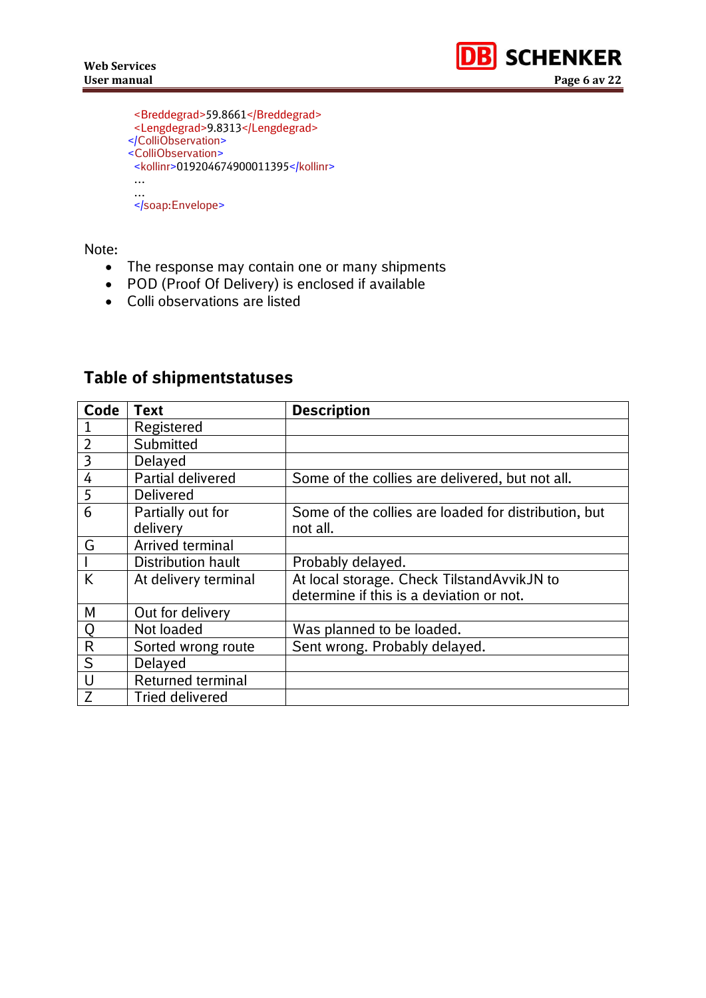

```
 <Breddegrad>59.8661</Breddegrad>
 <Lengdegrad>9.8313</Lengdegrad>
</ColliObservation>
<ColliObservation>
 <kollinr>019204674900011395</kollinr>
 …
 …
 </soap:Envelope>
```
Note:

- The response may contain one or many shipments
- POD (Proof Of Delivery) is enclosed if available
- Colli observations are listed

# **Table of shipmentstatuses**

| <b>Code</b>    | <b>Text</b>               | <b>Description</b>                                   |
|----------------|---------------------------|------------------------------------------------------|
| $\mathbf{1}$   | Registered                |                                                      |
| $\overline{2}$ | Submitted                 |                                                      |
| $\overline{3}$ | Delayed                   |                                                      |
| $\overline{4}$ | <b>Partial delivered</b>  | Some of the collies are delivered, but not all.      |
| 5              | <b>Delivered</b>          |                                                      |
| 6              | Partially out for         | Some of the collies are loaded for distribution, but |
|                | delivery                  | not all.                                             |
| G              | Arrived terminal          |                                                      |
|                | <b>Distribution hault</b> | Probably delayed.                                    |
| K              | At delivery terminal      | At local storage. Check TilstandAvvikJN to           |
|                |                           | determine if this is a deviation or not.             |
| M              | Out for delivery          |                                                      |
| $\overline{Q}$ | Not loaded                | Was planned to be loaded.                            |
| $\overline{R}$ | Sorted wrong route        | Sent wrong. Probably delayed.                        |
| S              | <b>Delayed</b>            |                                                      |
| U              | Returned terminal         |                                                      |
| $\overline{Z}$ | <b>Tried delivered</b>    |                                                      |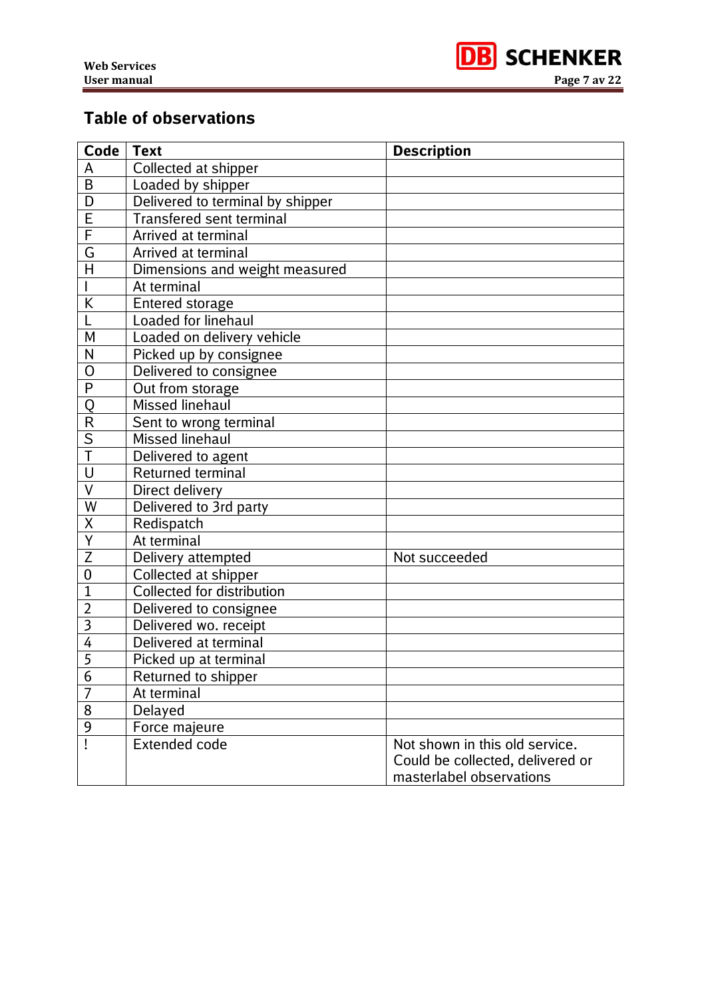

# **Table of observations**

| Code                    | <b>Text</b>                      | <b>Description</b>                                                                             |
|-------------------------|----------------------------------|------------------------------------------------------------------------------------------------|
| A                       | Collected at shipper             |                                                                                                |
| B                       | Loaded by shipper                |                                                                                                |
| D                       | Delivered to terminal by shipper |                                                                                                |
| E                       | <b>Transfered sent terminal</b>  |                                                                                                |
| $\overline{\mathsf{F}}$ | Arrived at terminal              |                                                                                                |
| G                       | Arrived at terminal              |                                                                                                |
| $\overline{\mathsf{H}}$ | Dimensions and weight measured   |                                                                                                |
|                         | At terminal                      |                                                                                                |
| K                       | Entered storage                  |                                                                                                |
|                         | Loaded for linehaul              |                                                                                                |
| M                       | Loaded on delivery vehicle       |                                                                                                |
| N                       | Picked up by consignee           |                                                                                                |
| O                       | Delivered to consignee           |                                                                                                |
| P                       | Out from storage                 |                                                                                                |
| Q                       | <b>Missed linehaul</b>           |                                                                                                |
| $\overline{\mathsf{R}}$ | Sent to wrong terminal           |                                                                                                |
| $rac{S}{T}$             | <b>Missed linehaul</b>           |                                                                                                |
|                         | Delivered to agent               |                                                                                                |
| U                       | <b>Returned terminal</b>         |                                                                                                |
| $\overline{\vee}$       | Direct delivery                  |                                                                                                |
| W                       | Delivered to 3rd party           |                                                                                                |
| X                       | Redispatch                       |                                                                                                |
| Y                       | At terminal                      |                                                                                                |
| Z                       | Delivery attempted               | Not succeeded                                                                                  |
| 0                       | Collected at shipper             |                                                                                                |
| $\mathbf{1}$            | Collected for distribution       |                                                                                                |
| $\overline{2}$          | Delivered to consignee           |                                                                                                |
| $\overline{\mathbf{3}}$ | Delivered wo. receipt            |                                                                                                |
| 4                       | Delivered at terminal            |                                                                                                |
| $\overline{5}$          | Picked up at terminal            |                                                                                                |
| $\mathfrak b$           | Returned to shipper              |                                                                                                |
| $\overline{7}$          | At terminal                      |                                                                                                |
| 8                       | Delayed                          |                                                                                                |
| $\overline{9}$          | Force majeure                    |                                                                                                |
|                         | <b>Extended code</b>             | Not shown in this old service.<br>Could be collected, delivered or<br>masterlabel observations |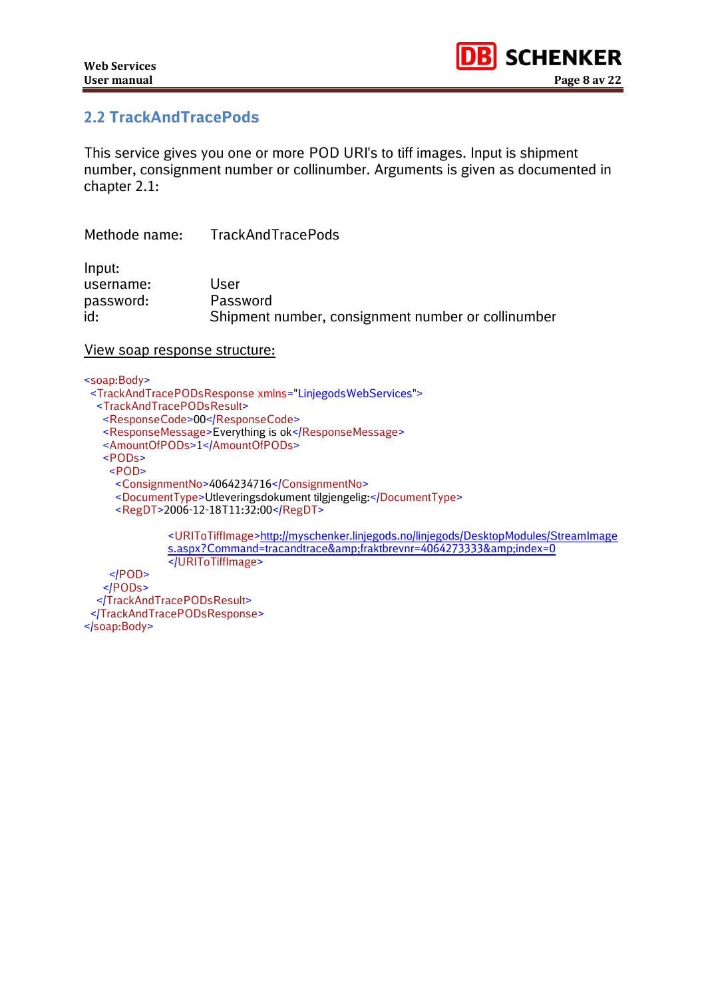

### <span id="page-7-0"></span>**2.2 TrackAndTracePods**

This service gives you one or more POD URI's to tiff images. Input is shipment number, consignment number or collinumber. Arguments is given as documented in chapter 2.1:

| Methode name: | TrackAndTracePods                                  |
|---------------|----------------------------------------------------|
| Input:        |                                                    |
| username:     | User                                               |
| password:     | Password                                           |
| id:           | Shipment number, consignment number or collinumber |

#### View soap response structure:

<soap:Body>

- <TrackAndTracePODsResponse xmlns="LinjegodsWebServices">
	- <TrackAndTracePODsResult>
	- <ResponseCode>00</ResponseCode>
	- <ResponseMessage>Everything is ok</ResponseMessage>
	- <AmountOfPODs>1</AmountOfPODs>
	- <PODs>
	- <POD>
		- <ConsignmentNo>4064234716</ConsignmentNo>
	- <DocumentType>Utleveringsdokument tilgjengelig:</DocumentType>
	- <RegDT>2006-12-18T11:32:00</RegDT>

<URIToTiffImage[>http://myschenker.linjegods.no/linjegods/DesktopModules/StreamImage](http://myschenker.linjegods.no/linjegods/DesktopModules/StreamImages.aspx?Command=tracandtrace&fraktbrevnr=4064273333&index=0) [s.aspx?Command=tracandtrace&fraktbrevnr=4064273333&index=0](http://myschenker.linjegods.no/linjegods/DesktopModules/StreamImages.aspx?Command=tracandtrace&fraktbrevnr=4064273333&index=0) </URIToTiffImage>

 $<$ /POD $>$  </PODs> </TrackAndTracePODsResult> </TrackAndTracePODsResponse> </soap:Body>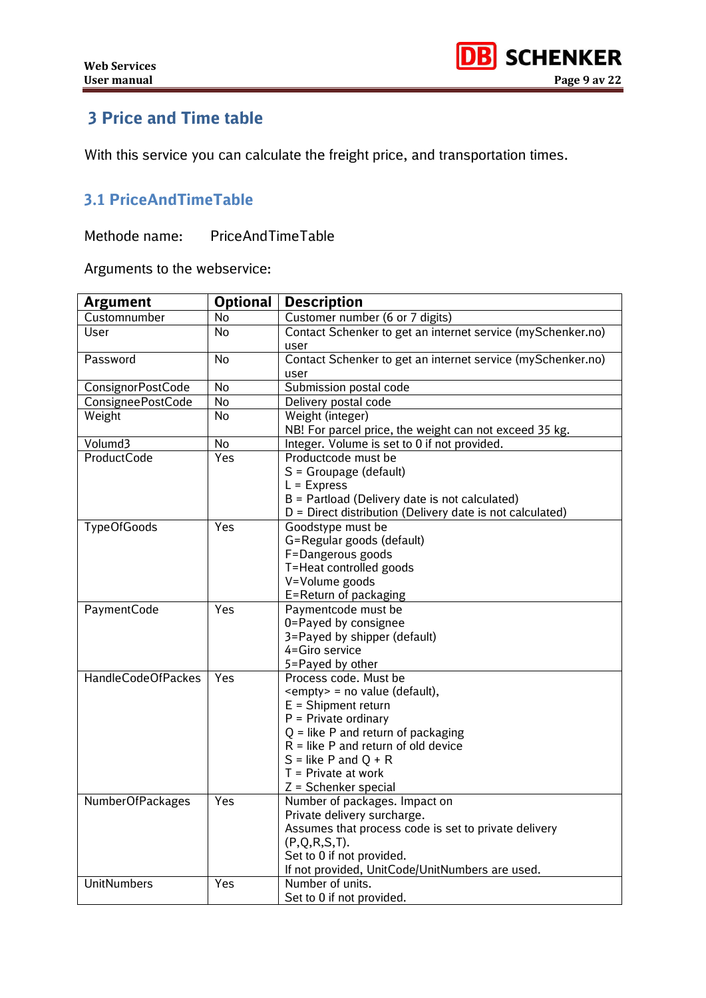# <span id="page-8-0"></span>**3 Price and Time table**

With this service you can calculate the freight price, and transportation times.

## <span id="page-8-1"></span>**3.1 PriceAndTimeTable**

Methode name: PriceAndTimeTable

Arguments to the webservice:

| <b>Argument</b>           | <b>Optional</b> | <b>Description</b>                                             |
|---------------------------|-----------------|----------------------------------------------------------------|
| Customnumber              | <b>No</b>       | Customer number (6 or 7 digits)                                |
| User                      | No              | Contact Schenker to get an internet service (mySchenker.no)    |
|                           |                 | user                                                           |
| Password                  | <b>No</b>       | Contact Schenker to get an internet service (mySchenker.no)    |
|                           |                 | user                                                           |
| ConsignorPostCode         | No              | Submission postal code                                         |
| ConsigneePostCode         | No              | Delivery postal code                                           |
| Weight                    | <b>No</b>       | Weight (integer)                                               |
|                           |                 | NB! For parcel price, the weight can not exceed 35 kg.         |
| Volumd3                   | No              | Integer. Volume is set to 0 if not provided.                   |
| <b>ProductCode</b>        | Yes             | Productcode must be                                            |
|                           |                 | S = Groupage (default)                                         |
|                           |                 | $L =$ Express                                                  |
|                           |                 | B = Partload (Delivery date is not calculated)                 |
|                           |                 | D = Direct distribution (Delivery date is not calculated)      |
| <b>TypeOfGoods</b>        | Yes             | Goodstype must be                                              |
|                           |                 | G=Regular goods (default)                                      |
|                           |                 | F=Dangerous goods                                              |
|                           |                 | T=Heat controlled goods                                        |
|                           |                 | V=Volume goods                                                 |
|                           |                 | E=Return of packaging                                          |
| PaymentCode               | Yes             | Paymentcode must be                                            |
|                           |                 | 0=Payed by consignee                                           |
|                           |                 | 3=Payed by shipper (default)                                   |
|                           |                 | 4=Giro service                                                 |
| <b>HandleCodeOfPackes</b> | Yes             | 5=Payed by other                                               |
|                           |                 | Process code. Must be<br><empty> = no value (default),</empty> |
|                           |                 | $E =$ Shipment return                                          |
|                           |                 | $P =$ Private ordinary                                         |
|                           |                 | $Q =$ like P and return of packaging                           |
|                           |                 | $R =$ like P and return of old device                          |
|                           |                 | $S =$ like P and Q + R                                         |
|                           |                 | $T =$ Private at work                                          |
|                           |                 | $Z = S$ chenker special                                        |
| NumberOfPackages          | Yes             | Number of packages. Impact on                                  |
|                           |                 | Private delivery surcharge.                                    |
|                           |                 | Assumes that process code is set to private delivery           |
|                           |                 | $(P,Q,R,S,T)$ .                                                |
|                           |                 | Set to 0 if not provided.                                      |
|                           |                 | If not provided, UnitCode/UnitNumbers are used.                |
| <b>UnitNumbers</b>        | Yes             | Number of units.                                               |
|                           |                 | Set to 0 if not provided.                                      |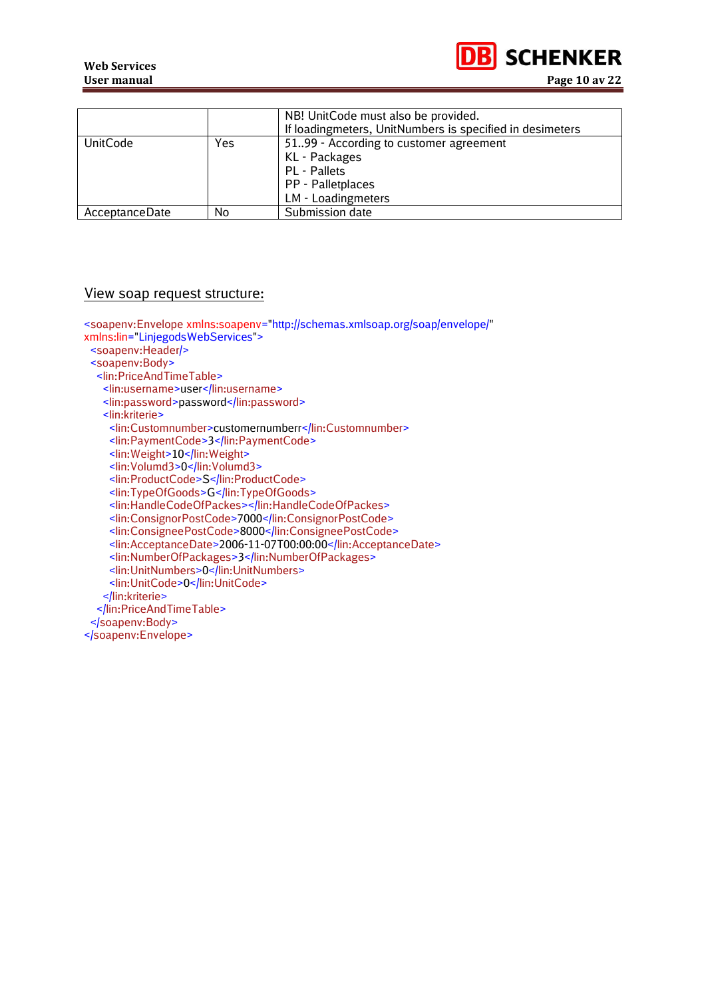

|                 |     | NB! UnitCode must also be provided.                      |
|-----------------|-----|----------------------------------------------------------|
|                 |     | If loadingmeters, UnitNumbers is specified in desimeters |
| <b>UnitCode</b> | Yes | 51.99 - According to customer agreement                  |
|                 |     | KL - Packages                                            |
|                 |     | PL - Pallets                                             |
|                 |     | PP - Palletplaces                                        |
|                 |     | LM - Loadingmeters                                       |
| AcceptanceDate  | No  | Submission date                                          |

## View soap request structure:

| <soapenv:envelope <br="" xmlns:soapenv="http://schemas.xmlsoap.org/soap/envelope/">xmlns:lin="LinjegodsWebServices"&gt;<br/><soapenv:header></soapenv:header><br/><soapenv:body><br/><lin:priceandtimetable><br/><lin:username>user</lin:username><br/><lin:password>password</lin:password><br/><lin:kriterie><br/><lin:customnumber>customernumberr</lin:customnumber><br/><lin:paymentcode>3</lin:paymentcode><br/><lin: weight="">10</lin:><br/><lin:volumd3>0</lin:volumd3><br/><lin:productcode>S</lin:productcode><br/><lin:typeofgoods>G</lin:typeofgoods><br/><lin:handlecodeofpackes></lin:handlecodeofpackes><br/><lin:consignorpostcode>7000</lin:consignorpostcode><br/><lin:consigneepostcode>8000</lin:consigneepostcode><br/><lin:acceptancedate>2006-11-07T00:00:00</lin:acceptancedate><br/><lin:numberofpackages>3</lin:numberofpackages><br/><lin:unitnumbers>0</lin:unitnumbers><br/><lin:unitcode>0</lin:unitcode></lin:kriterie></lin:priceandtimetable></soapenv:body></soapenv:envelope> |
|-------------------------------------------------------------------------------------------------------------------------------------------------------------------------------------------------------------------------------------------------------------------------------------------------------------------------------------------------------------------------------------------------------------------------------------------------------------------------------------------------------------------------------------------------------------------------------------------------------------------------------------------------------------------------------------------------------------------------------------------------------------------------------------------------------------------------------------------------------------------------------------------------------------------------------------------------------------------------------------------------------------------|
|                                                                                                                                                                                                                                                                                                                                                                                                                                                                                                                                                                                                                                                                                                                                                                                                                                                                                                                                                                                                                   |
| <br>                                                                                                                                                                                                                                                                                                                                                                                                                                                                                                                                                                                                                                                                                                                                                                                                                                                                                                                                                                                                              |
| <br>                                                                                                                                                                                                                                                                                                                                                                                                                                                                                                                                                                                                                                                                                                                                                                                                                                                                                                                                                                                                              |
|                                                                                                                                                                                                                                                                                                                                                                                                                                                                                                                                                                                                                                                                                                                                                                                                                                                                                                                                                                                                                   |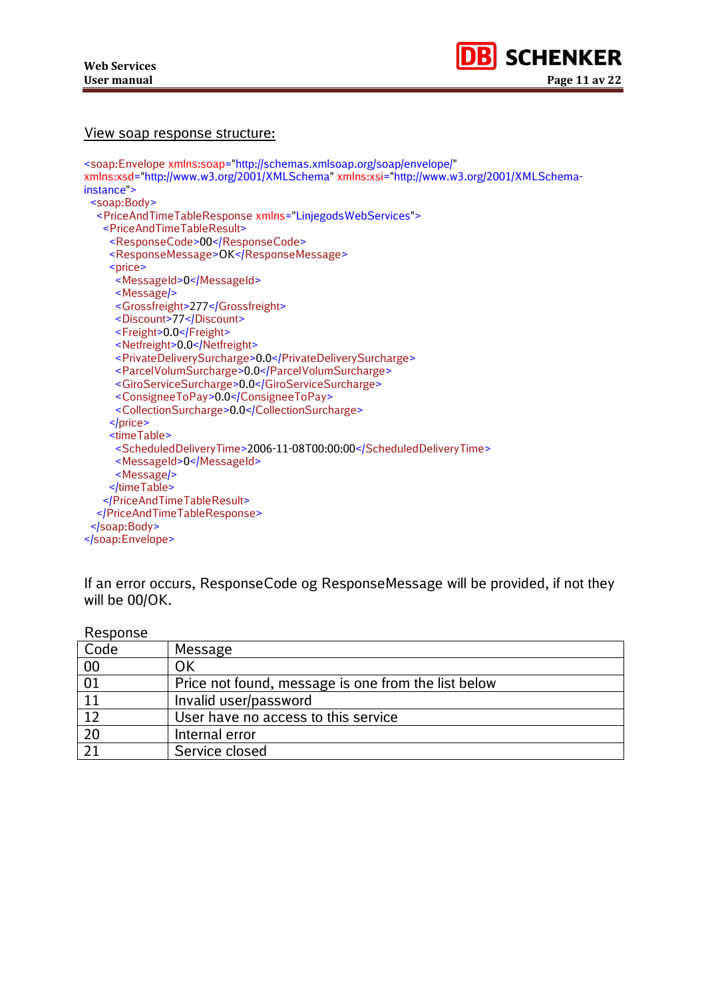#### View soap response structure:

| <soap:envelope <="" th="" xmlns:soap="http://schemas.xmlsoap.org/soap/envelope/"></soap:envelope> |
|---------------------------------------------------------------------------------------------------|
| xmlns:xsd="http://www.w3.org/2001/XMLSchema" xmlns:xsi="http://www.w3.org/2001/XMLSchema-         |
| instance >                                                                                        |
| <soap:body></soap:body>                                                                           |
| <priceandtimetableresponse xmlns="LinjegodsWebServices"></priceandtimetableresponse>              |
| <priceandtimetableresult></priceandtimetableresult>                                               |
| <responsecode>00</responsecode>                                                                   |
| <responsemessage>OK</responsemessage>                                                             |
| <price></price>                                                                                   |
| <messageid>0</messageid>                                                                          |
| <message></message>                                                                               |
| <grossfreight>277</grossfreight>                                                                  |
| <discount>77</discount>                                                                           |
| <freight>0.0</freight>                                                                            |
| <netfreight>0.0</netfreight>                                                                      |
| <privatedeliverysurcharge>0.0</privatedeliverysurcharge>                                          |
| <parcelvolumsurcharge>0.0</parcelvolumsurcharge>                                                  |
| <giroservicesurcharge>0.0</giroservicesurcharge>                                                  |
| <consigneetopay>0.0</consigneetopay>                                                              |
| <collectionsurcharge>0.0</collectionsurcharge>                                                    |
| $<$ /price>                                                                                       |
| <timetable></timetable>                                                                           |
| <scheduleddeliverytime>2006-11-08T00:00:00</scheduleddeliverytime>                                |
| <messageid>0</messageid>                                                                          |
| <message></message>                                                                               |
|                                                                                                   |
|                                                                                                   |
|                                                                                                   |
| $<$ soap: Body $>$                                                                                |
|                                                                                                   |
|                                                                                                   |

If an error occurs, ResponseCode og ResponseMessage will be provided, if not they will be 00/OK.

| <b>ITEPNISE</b> |                                                     |
|-----------------|-----------------------------------------------------|
| Code            | Message                                             |
| 00              | OK                                                  |
| 01              | Price not found, message is one from the list below |
|                 | Invalid user/password                               |
| 12              | User have no access to this service                 |
| 20              | Internal error                                      |
| ว 1             | Service closed                                      |

Response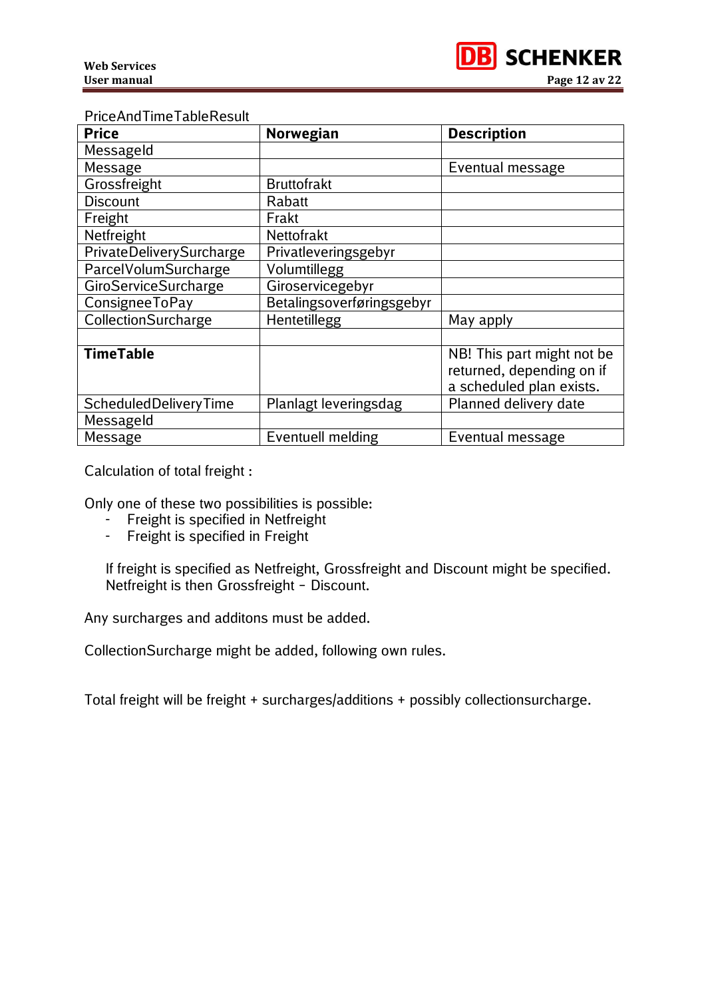

#### PriceAndTimeTableResult

| <b>Price</b>                | Norwegian                 | <b>Description</b>                                                                  |  |
|-----------------------------|---------------------------|-------------------------------------------------------------------------------------|--|
| Messageld                   |                           |                                                                                     |  |
| Message                     |                           | Eventual message                                                                    |  |
| Grossfreight                | <b>Bruttofrakt</b>        |                                                                                     |  |
| <b>Discount</b>             | Rabatt                    |                                                                                     |  |
| Freight                     | Frakt                     |                                                                                     |  |
| Netfreight                  | Nettofrakt                |                                                                                     |  |
| PrivateDeliverySurcharge    | Privatleveringsgebyr      |                                                                                     |  |
| ParcelVolumSurcharge        | Volumtillegg              |                                                                                     |  |
| <b>GiroServiceSurcharge</b> | Giroservicegebyr          |                                                                                     |  |
| ConsigneeToPay              | Betalingsoverføringsgebyr |                                                                                     |  |
| CollectionSurcharge         | Hentetillegg              | May apply                                                                           |  |
|                             |                           |                                                                                     |  |
| <b>TimeTable</b>            |                           | NB! This part might not be<br>returned, depending on if<br>a scheduled plan exists. |  |
| ScheduledDeliveryTime       | Planlagt leveringsdag     | Planned delivery date                                                               |  |
| Messageld                   |                           |                                                                                     |  |
| <b>Message</b>              | <b>Eventuell melding</b>  | Eventual message                                                                    |  |

Calculation of total freight :

Only one of these two possibilities is possible:

- Freight is specified in Netfreight
- Freight is specified in Freight

If freight is specified as Netfreight, Grossfreight and Discount might be specified. Netfreight is then Grossfreight – Discount.

Any surcharges and additons must be added.

CollectionSurcharge might be added, following own rules.

Total freight will be freight + surcharges/additions + possibly collectionsurcharge.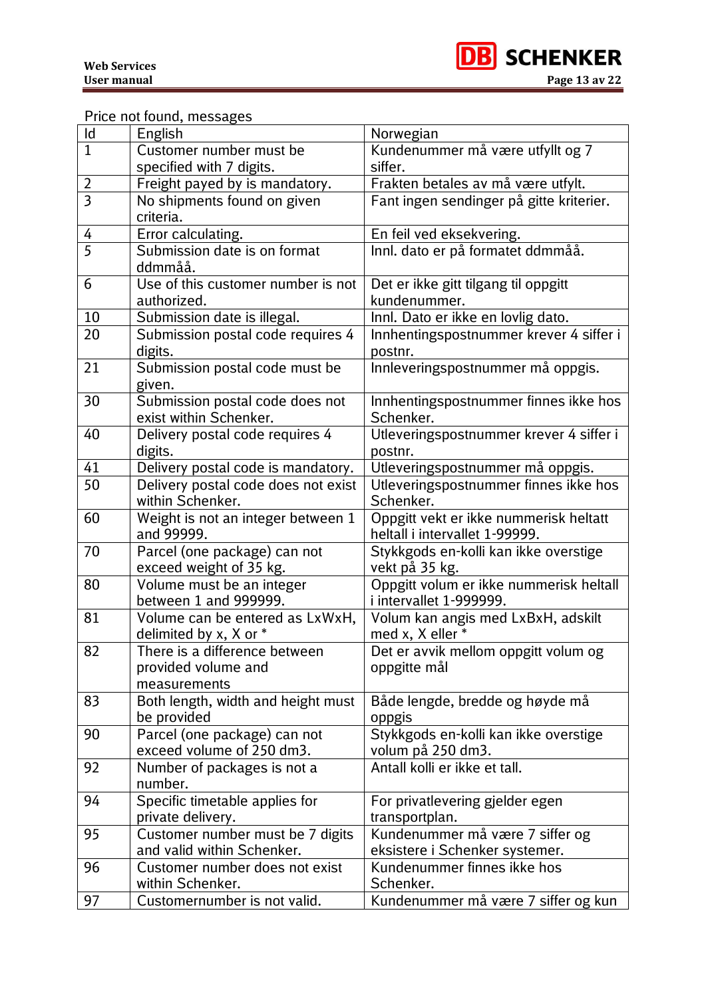

## Price not found, messages

| $\mathsf{Id}$  | English                                                 | Norwegian                                            |
|----------------|---------------------------------------------------------|------------------------------------------------------|
| $\overline{1}$ | Customer number must be                                 | Kundenummer må være utfyllt og 7                     |
|                | specified with 7 digits.                                | siffer.                                              |
| $\overline{2}$ | Freight payed by is mandatory.                          | Frakten betales av må være utfylt.                   |
| $\overline{3}$ | No shipments found on given<br>criteria.                | Fant ingen sendinger på gitte kriterier.             |
| 4              | Error calculating.                                      | En feil ved eksekvering.                             |
| $\overline{5}$ | Submission date is on format                            | Innl. dato er på formatet ddmmåå.                    |
|                | ddmmåå.                                                 |                                                      |
| 6              | Use of this customer number is not                      | Det er ikke gitt tilgang til oppgitt                 |
|                | authorized.                                             | kundenummer.                                         |
| 10             | Submission date is illegal.                             | Innl. Dato er ikke en lovlig dato.                   |
| 20             | Submission postal code requires 4<br>digits.            | Innhentingspostnummer krever 4 siffer i<br>postnr.   |
| 21             | Submission postal code must be                          | Innleveringspostnummer må oppgis.                    |
|                | given.                                                  |                                                      |
| 30             | Submission postal code does not                         | Innhentingspostnummer finnes ikke hos                |
|                | exist within Schenker.                                  | Schenker.                                            |
| 40             | Delivery postal code requires 4                         | Utleveringspostnummer krever 4 siffer i              |
|                | digits.                                                 | postnr.                                              |
| 41             | Delivery postal code is mandatory.                      | Utleveringspostnummer må oppgis.                     |
| 50             | Delivery postal code does not exist                     | Utleveringspostnummer finnes ikke hos                |
|                | within Schenker.                                        | Schenker.                                            |
| 60             | Weight is not an integer between 1                      | Oppgitt vekt er ikke nummerisk heltatt               |
|                | and 99999.                                              | heltall i intervallet 1-99999.                       |
| 70             | Parcel (one package) can not                            | Stykkgods en-kolli kan ikke overstige                |
|                | exceed weight of 35 kg.                                 | vekt på 35 kg.                                       |
| 80             | Volume must be an integer                               | Oppgitt volum er ikke nummerisk heltall              |
|                | between 1 and 999999.                                   | i intervallet 1-999999.                              |
| 81             | Volume can be entered as LxWxH,                         | Volum kan angis med LxBxH, adskilt                   |
| 82             | delimited by x, X or *<br>There is a difference between | med x, X eller *                                     |
|                | provided volume and                                     | Det er avvik mellom oppgitt volum og<br>oppgitte mål |
|                | measurements                                            |                                                      |
| 83             | Both length, width and height must                      | Både lengde, bredde og høyde må                      |
|                | be provided                                             | oppgis                                               |
| 90             | Parcel (one package) can not                            | Stykkgods en-kolli kan ikke overstige                |
|                | exceed volume of 250 dm3.                               | volum på 250 dm3.                                    |
| 92             | Number of packages is not a                             | Antall kolli er ikke et tall.                        |
|                | number.                                                 |                                                      |
| 94             | Specific timetable applies for                          | For privatlevering gjelder egen                      |
|                | private delivery.                                       | transportplan.                                       |
| 95             | Customer number must be 7 digits                        | Kundenummer må være 7 siffer og                      |
|                | and valid within Schenker.                              | eksistere i Schenker systemer.                       |
| 96             | Customer number does not exist                          | Kundenummer finnes ikke hos                          |
|                | within Schenker.                                        | Schenker.                                            |
| 97             | Customernumber is not valid.                            | Kundenummer må være 7 siffer og kun                  |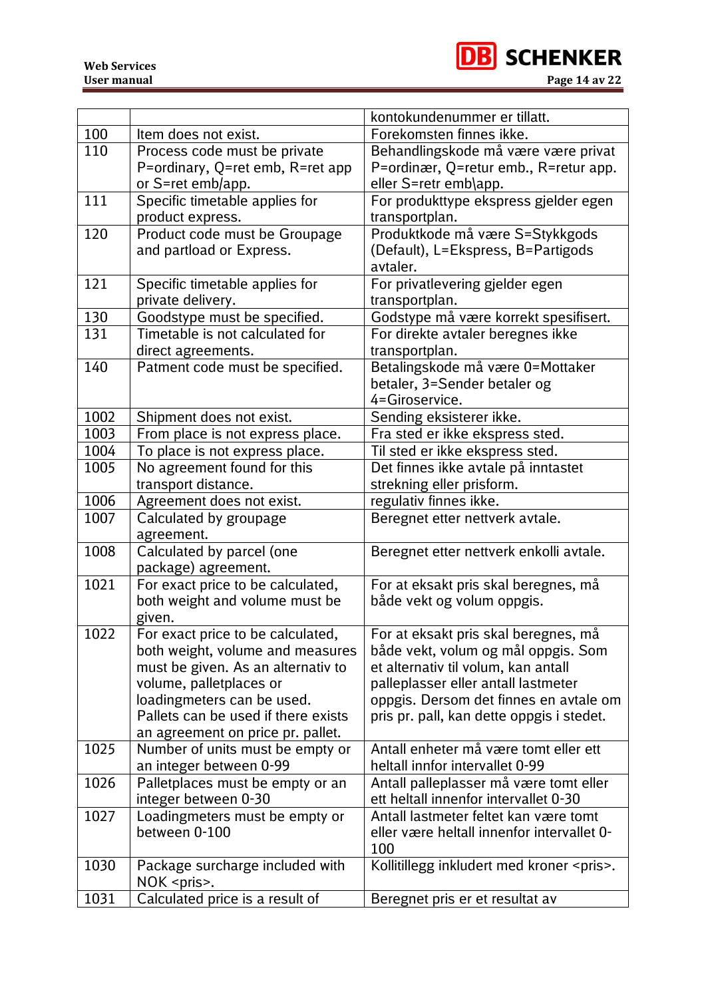

|      |                                      | kontokundenummer er tillatt.                     |
|------|--------------------------------------|--------------------------------------------------|
| 100  | Item does not exist.                 | Forekomsten finnes ikke.                         |
| 110  | Process code must be private         | Behandlingskode må være være privat              |
|      | P=ordinary, Q=ret emb, R=ret app     | P=ordinær, Q=retur emb., R=retur app.            |
|      | or S=ret emb/app.                    | eller S=retr emb\app.                            |
| 111  | Specific timetable applies for       | For produkttype ekspress gjelder egen            |
|      | product express.                     | transportplan.                                   |
| 120  | Product code must be Groupage        | Produktkode må være S=Stykkgods                  |
|      | and partload or Express.             | (Default), L=Ekspress, B=Partigods               |
|      |                                      | avtaler.                                         |
| 121  | Specific timetable applies for       | For privatlevering gjelder egen                  |
|      | private delivery.                    | transportplan.                                   |
| 130  | Goodstype must be specified.         | Godstype må være korrekt spesifisert.            |
| 131  | Timetable is not calculated for      | For direkte avtaler beregnes ikke                |
|      | direct agreements.                   | transportplan.                                   |
| 140  | Patment code must be specified.      | Betalingskode må være 0=Mottaker                 |
|      |                                      | betaler, 3=Sender betaler og                     |
|      |                                      | 4=Giroservice.                                   |
| 1002 | Shipment does not exist.             | Sending eksisterer ikke.                         |
| 1003 | From place is not express place.     | Fra sted er ikke ekspress sted.                  |
| 1004 | To place is not express place.       | Til sted er ikke ekspress sted.                  |
| 1005 | No agreement found for this          | Det finnes ikke avtale på inntastet              |
|      | transport distance.                  | strekning eller prisform.                        |
| 1006 | Agreement does not exist.            | regulativ finnes ikke.                           |
| 1007 | Calculated by groupage<br>agreement. | Beregnet etter nettverk avtale.                  |
| 1008 | Calculated by parcel (one            | Beregnet etter nettverk enkolli avtale.          |
|      | package) agreement.                  |                                                  |
| 1021 | For exact price to be calculated,    | For at eksakt pris skal beregnes, må             |
|      | both weight and volume must be       | både vekt og volum oppgis.                       |
|      | given.                               |                                                  |
| 1022 | For exact price to be calculated,    | For at eksakt pris skal beregnes, må             |
|      | both weight, volume and measures     | både vekt, volum og mål oppgis. Som              |
|      | must be given. As an alternativ to   | et alternativ til volum, kan antall              |
|      | volume, palletplaces or              | palleplasser eller antall lastmeter              |
|      | loadingmeters can be used.           | oppgis. Dersom det finnes en avtale om           |
|      | Pallets can be used if there exists  | pris pr. pall, kan dette oppgis i stedet.        |
|      | an agreement on price pr. pallet.    |                                                  |
| 1025 | Number of units must be empty or     | Antall enheter må være tomt eller ett            |
|      | an integer between 0-99              | heltall innfor intervallet 0-99                  |
| 1026 | Palletplaces must be empty or an     | Antall palleplasser må være tomt eller           |
|      | integer between 0-30                 | ett heltall innenfor intervallet 0-30            |
| 1027 | Loadingmeters must be empty or       | Antall lastmeter feltet kan være tomt            |
|      | between 0-100                        | eller være heltall innenfor intervallet 0-       |
|      |                                      | 100                                              |
| 1030 | Package surcharge included with      | Kollitillegg inkludert med kroner <pris>.</pris> |
|      | $NOK$ <pris>.</pris>                 |                                                  |
| 1031 | Calculated price is a result of      | Beregnet pris er et resultat av                  |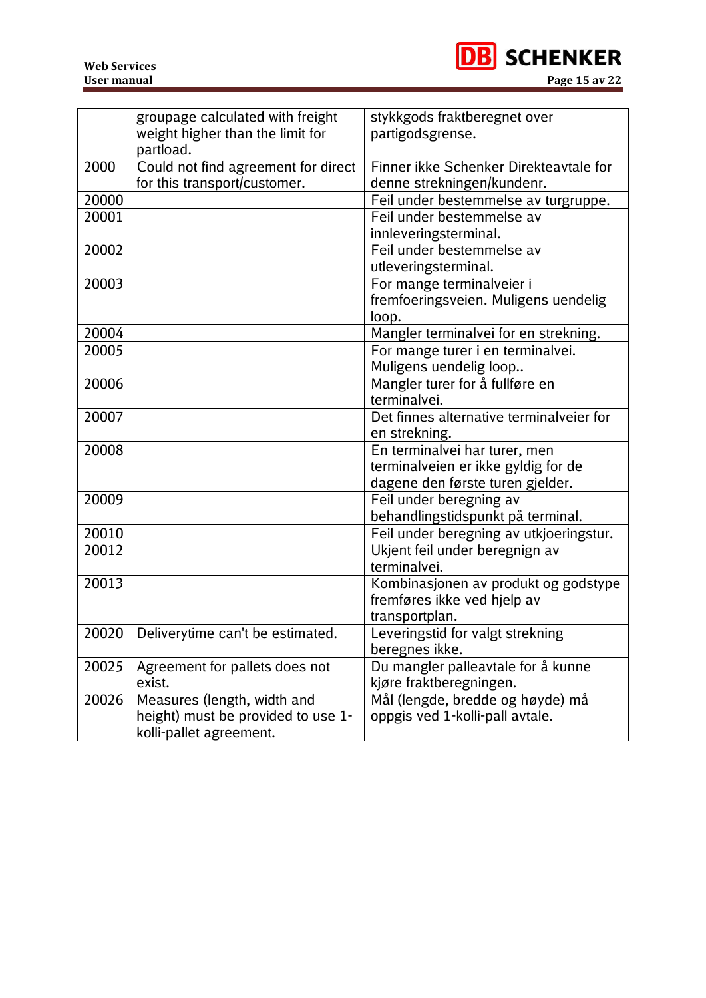<span id="page-14-0"></span>

|       | groupage calculated with freight<br>weight higher than the limit for<br>partload. | stykkgods fraktberegnet over<br>partigodsgrense.             |
|-------|-----------------------------------------------------------------------------------|--------------------------------------------------------------|
| 2000  | Could not find agreement for direct                                               | Finner ikke Schenker Direkteavtale for                       |
|       | for this transport/customer.                                                      | denne strekningen/kundenr.                                   |
| 20000 |                                                                                   | Feil under bestemmelse av turgruppe.                         |
| 20001 |                                                                                   | Feil under bestemmelse av                                    |
|       |                                                                                   | innleveringsterminal.                                        |
| 20002 |                                                                                   | Feil under bestemmelse av                                    |
|       |                                                                                   | utleveringsterminal.                                         |
| 20003 |                                                                                   | For mange terminalveier i                                    |
|       |                                                                                   | fremfoeringsveien. Muligens uendelig                         |
|       |                                                                                   | loop.                                                        |
| 20004 |                                                                                   | Mangler terminalvei for en strekning.                        |
| 20005 |                                                                                   | For mange turer i en terminalvei.                            |
|       |                                                                                   | Muligens uendelig loop                                       |
| 20006 |                                                                                   | Mangler turer for å fullføre en                              |
|       |                                                                                   | terminalvei.                                                 |
| 20007 |                                                                                   | Det finnes alternative terminalveier for                     |
|       |                                                                                   | en strekning.                                                |
| 20008 |                                                                                   | En terminalvei har turer, men                                |
|       |                                                                                   | terminalveien er ikke gyldig for de                          |
| 20009 |                                                                                   | dagene den første turen gjelder.                             |
|       |                                                                                   | Feil under beregning av<br>behandlingstidspunkt på terminal. |
| 20010 |                                                                                   | Feil under beregning av utkjoeringstur.                      |
| 20012 |                                                                                   | Ukjent feil under beregnign av                               |
|       |                                                                                   | terminalvei.                                                 |
| 20013 |                                                                                   | Kombinasjonen av produkt og godstype                         |
|       |                                                                                   | fremføres ikke ved hjelp av                                  |
|       |                                                                                   | transportplan.                                               |
|       | 20020   Deliverytime can't be estimated                                           | everingstid for valgt strekning                              |
|       |                                                                                   | beregnes ikke.                                               |
| 20025 | Agreement for pallets does not                                                    | Du mangler palleavtale for å kunne                           |
|       | exist.                                                                            | kjøre fraktberegningen.                                      |
| 20026 | Measures (length, width and                                                       | Mål (lengde, bredde og høyde) må                             |
|       | height) must be provided to use 1-                                                | oppgis ved 1-kolli-pall avtale.                              |
|       | kolli-pallet agreement.                                                           |                                                              |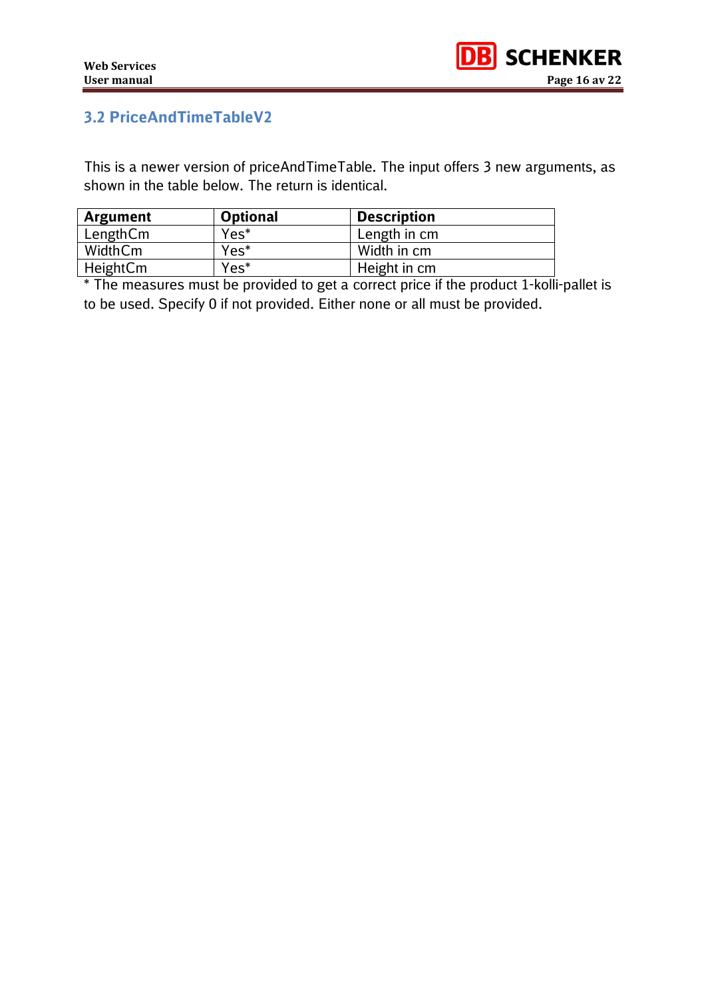# **3.2 PriceAndTimeTableV2**

This is a newer version of priceAndTimeTable. The input offers 3 new arguments, as shown in the table below. The return is identical.

| Argument | <b>Optional</b> | <b>Description</b> |  |
|----------|-----------------|--------------------|--|
| LengthCm | Yes*            | Length in cm       |  |
| WidthCm  | Yes*            | Width in cm        |  |
| HeightCm | Yes*            | Height in cm       |  |

\* The measures must be provided to get a correct price if the product 1-kolli-pallet is to be used. Specify 0 if not provided. Either none or all must be provided.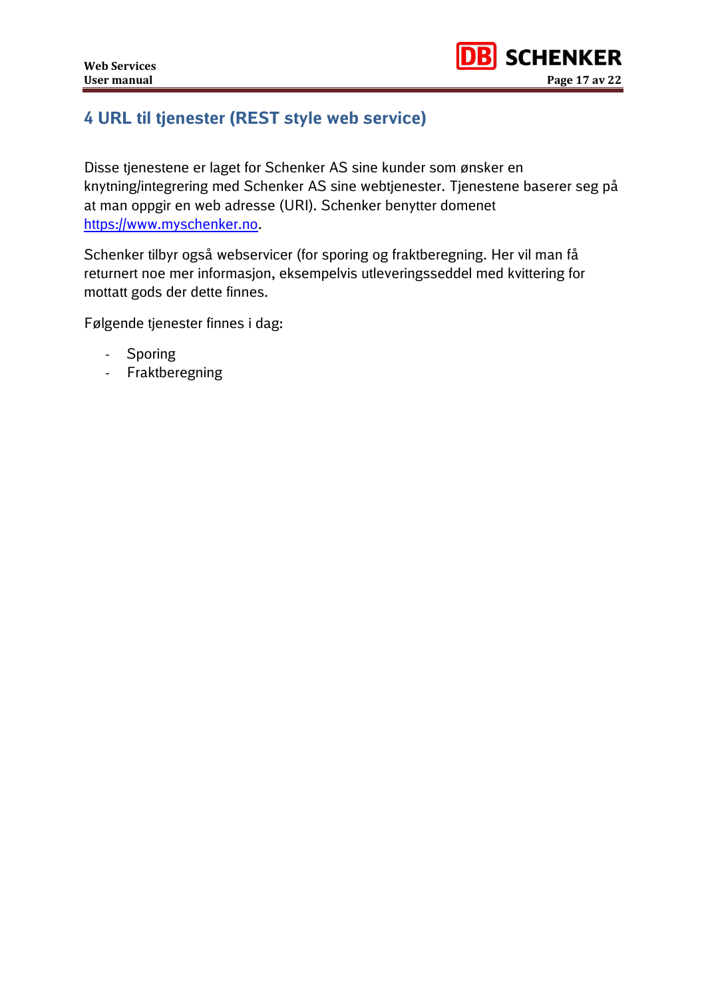# <span id="page-16-0"></span>**4 URL til tjenester (REST style web service)**

Disse tjenestene er laget for Schenker AS sine kunder som ønsker en knytning/integrering med Schenker AS sine webtjenester. Tjenestene baserer seg på at man oppgir en web adresse (URI). Schenker benytter domenet [https://www.myschenker.no.](https://www.myschenker.no/)

Schenker tilbyr også webservicer (for sporing og fraktberegning. Her vil man få returnert noe mer informasjon, eksempelvis utleveringsseddel med kvittering for mottatt gods der dette finnes.

Følgende tjenester finnes i dag:

- Sporing
- Fraktberegning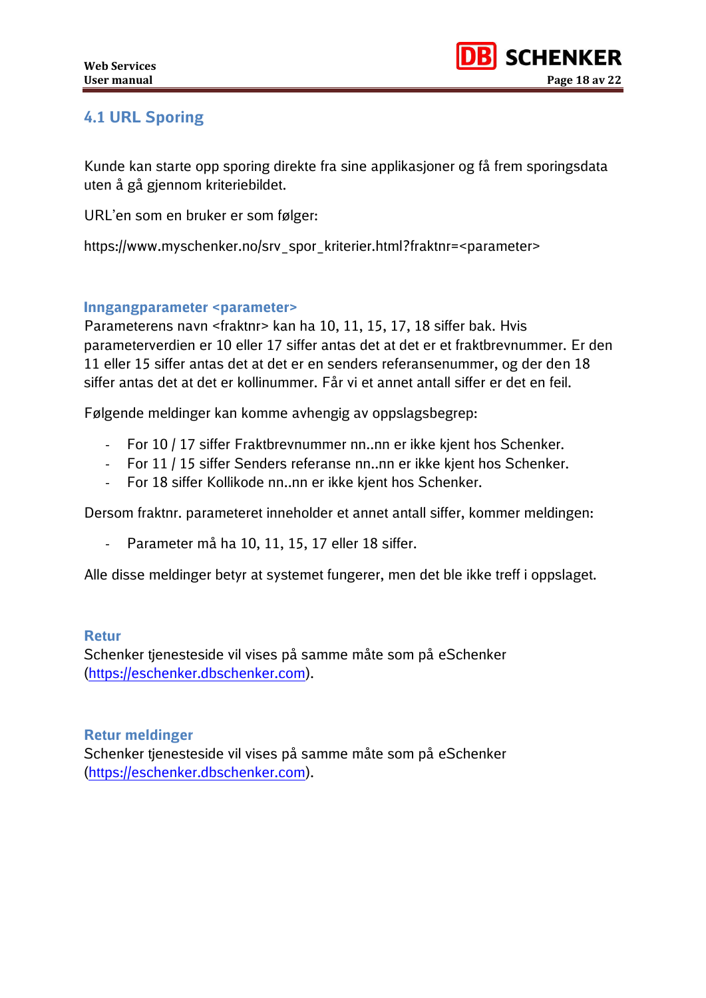# <span id="page-17-0"></span>**4.1 URL Sporing**

Kunde kan starte opp sporing direkte fra sine applikasjoner og få frem sporingsdata uten å gå gjennom kriteriebildet.

URL'en som en bruker er som følger:

https://www.myschenker.no/srv\_spor\_kriterier.html?fraktnr=<parameter>

### <span id="page-17-1"></span>**Inngangparameter <parameter>**

Parameterens navn <fraktnr> kan ha 10, 11, 15, 17, 18 siffer bak. Hvis parameterverdien er 10 eller 17 siffer antas det at det er et fraktbrevnummer. Er den 11 eller 15 siffer antas det at det er en senders referansenummer, og der den 18 siffer antas det at det er kollinummer. Får vi et annet antall siffer er det en feil.

Følgende meldinger kan komme avhengig av oppslagsbegrep:

- For 10 / 17 siffer Fraktbrevnummer nn..nn er ikke kjent hos Schenker.
- For 11 / 15 siffer Senders referanse nn..nn er ikke kjent hos Schenker.
- For 18 siffer Kollikode nn..nn er ikke kjent hos Schenker.

Dersom fraktnr. parameteret inneholder et annet antall siffer, kommer meldingen:

- Parameter må ha 10, 11, 15, 17 eller 18 siffer.

Alle disse meldinger betyr at systemet fungerer, men det ble ikke treff i oppslaget.

### <span id="page-17-2"></span>**Retur**

Schenker tjenesteside vil vises på samme måte som på eSchenker [\(https://eschenker.dbschenker.com\)](https://eschenker.dbschenker.com/).

### <span id="page-17-3"></span>**Retur meldinger**

Schenker tjenesteside vil vises på samme måte som på eSchenker [\(https://eschenker.dbschenker.com\)](https://eschenker.dbschenker.com/).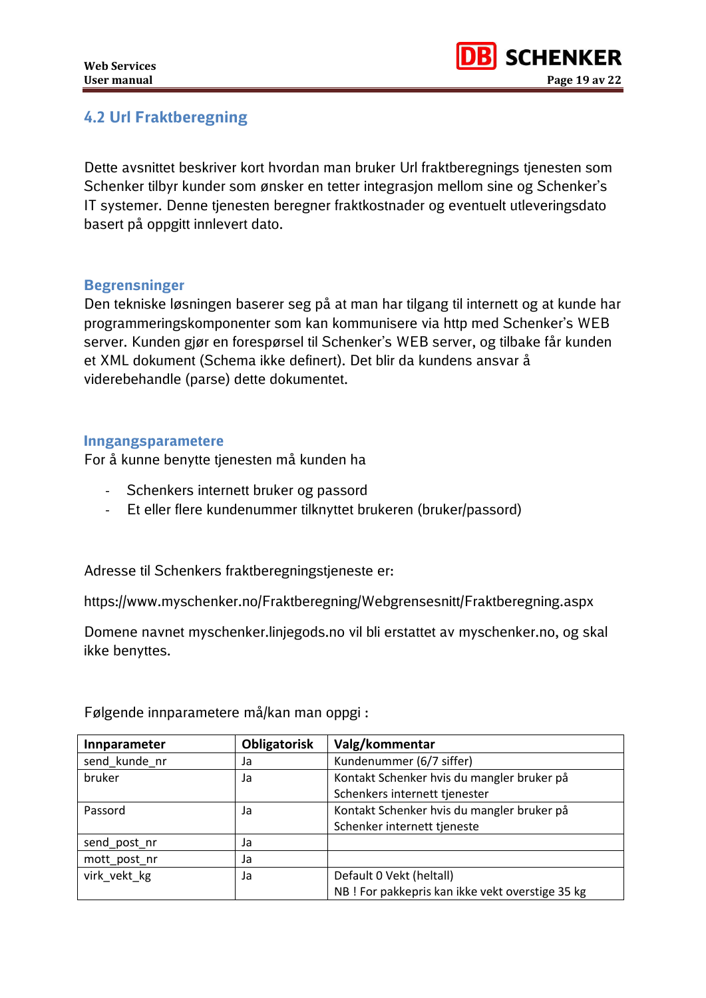## <span id="page-18-0"></span>**4.2 Url Fraktberegning**

Dette avsnittet beskriver kort hvordan man bruker Url fraktberegnings tjenesten som Schenker tilbyr kunder som ønsker en tetter integrasjon mellom sine og Schenker's IT systemer. Denne tjenesten beregner fraktkostnader og eventuelt utleveringsdato basert på oppgitt innlevert dato.

### <span id="page-18-1"></span>**Begrensninger**

Den tekniske løsningen baserer seg på at man har tilgang til internett og at kunde har programmeringskomponenter som kan kommunisere via http med Schenker's WEB server. Kunden gjør en forespørsel til Schenker's WEB server, og tilbake får kunden et XML dokument (Schema ikke definert). Det blir da kundens ansvar å viderebehandle (parse) dette dokumentet.

#### <span id="page-18-2"></span>**Inngangsparametere**

For å kunne benytte tjenesten må kunden ha

- Schenkers internett bruker og passord
- Et eller flere kundenummer tilknyttet brukeren (bruker/passord)

Adresse til Schenkers fraktberegningstjeneste er:

https://www.myschenker.no/Fraktberegning/Webgrensesnitt/Fraktberegning.aspx

Domene navnet myschenker.linjegods.no vil bli erstattet av myschenker.no, og skal ikke benyttes.

| Innparameter  | Obligatorisk | Valg/kommentar                                   |
|---------------|--------------|--------------------------------------------------|
| send kunde nr | Ja           | Kundenummer (6/7 siffer)                         |
| bruker        | Ja           | Kontakt Schenker hvis du mangler bruker på       |
|               |              | Schenkers internett tjenester                    |
| Passord       | Ja           | Kontakt Schenker hvis du mangler bruker på       |
|               |              | Schenker internett tjeneste                      |
| send_post_nr  | Ja           |                                                  |
| mott_post_nr  | Ja           |                                                  |
| virk vekt kg  | Ja           | Default 0 Vekt (heltall)                         |
|               |              | NB ! For pakkepris kan ikke vekt overstige 35 kg |

Følgende innparametere må/kan man oppgi :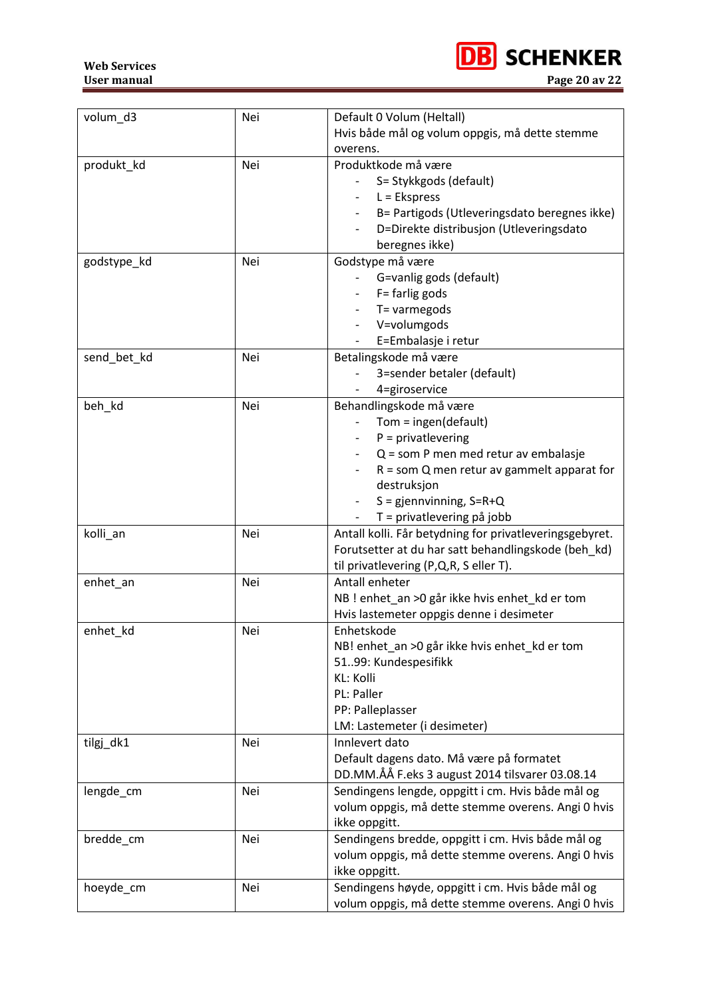**Web Services User manual Page 20 av 22**



| volum_d3    | Nei | Default 0 Volum (Heltall)                               |
|-------------|-----|---------------------------------------------------------|
|             |     | Hvis både mål og volum oppgis, må dette stemme          |
|             |     | overens.                                                |
| produkt_kd  | Nei | Produktkode må være                                     |
|             |     | S= Stykkgods (default)                                  |
|             |     | $L =$ Ekspress                                          |
|             |     | B= Partigods (Utleveringsdato beregnes ikke)            |
|             |     | D=Direkte distribusjon (Utleveringsdato                 |
|             |     | beregnes ikke)                                          |
| godstype_kd | Nei | Godstype må være                                        |
|             |     | G=vanlig gods (default)                                 |
|             |     | F= farlig gods                                          |
|             |     | T= varmegods                                            |
|             |     | V=volumgods                                             |
|             |     | E=Embalasje i retur                                     |
| send bet kd | Nei | Betalingskode må være                                   |
|             |     | 3=sender betaler (default)                              |
|             |     | 4=giroservice                                           |
| beh_kd      | Nei | Behandlingskode må være                                 |
|             |     | Tom = $ingen(detault)$                                  |
|             |     | $P = private$                                           |
|             |     | Q = som P men med retur av embalasje                    |
|             |     | $R =$ som Q men retur av gammelt apparat for            |
|             |     | destruksjon                                             |
|             |     | $S =$ gjennvinning, $S = R + Q$                         |
|             |     | T = privatlevering på jobb                              |
| kolli_an    | Nei | Antall kolli. Får betydning for privatleveringsgebyret. |
|             |     | Forutsetter at du har satt behandlingskode (beh_kd)     |
|             |     | til privatlevering (P,Q,R, S eller T).                  |
| enhet_an    | Nei | Antall enheter                                          |
|             |     | NB ! enhet_an >0 går ikke hvis enhet_kd er tom          |
|             |     | Hvis lastemeter oppgis denne i desimeter                |
| enhet_kd    | Nei | Enhetskode                                              |
|             |     | NB! enhet_an >0 går ikke hvis enhet_kd er tom           |
|             |     | 5199: Kundespesifikk                                    |
|             |     | KL: Kolli                                               |
|             |     | PL: Paller                                              |
|             |     | PP: Palleplasser                                        |
|             |     | LM: Lastemeter (i desimeter)                            |
| tilgj_dk1   | Nei | Innlevert dato                                          |
|             |     | Default dagens dato. Må være på formatet                |
|             |     | DD.MM.ÅÅ F.eks 3 august 2014 tilsvarer 03.08.14         |
| lengde_cm   | Nei | Sendingens lengde, oppgitt i cm. Hvis både mål og       |
|             |     | volum oppgis, må dette stemme overens. Angi 0 hvis      |
|             |     | ikke oppgitt.                                           |
| bredde_cm   | Nei | Sendingens bredde, oppgitt i cm. Hvis både mål og       |
|             |     | volum oppgis, må dette stemme overens. Angi 0 hvis      |
|             |     | ikke oppgitt.                                           |
| hoeyde_cm   | Nei | Sendingens høyde, oppgitt i cm. Hvis både mål og        |
|             |     | volum oppgis, må dette stemme overens. Angi 0 hvis      |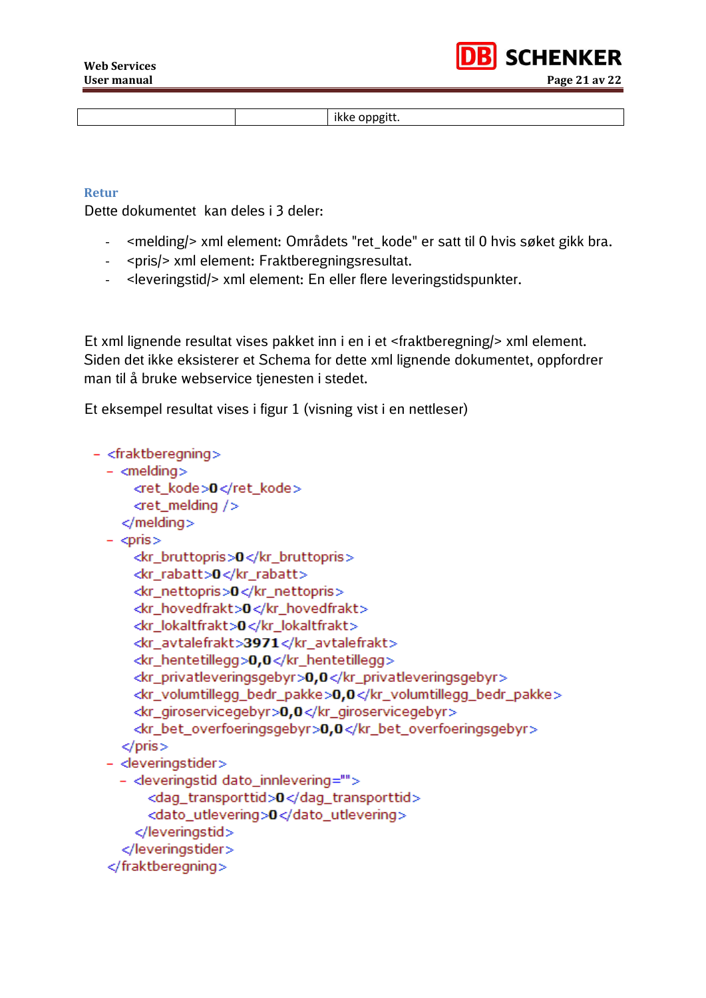

ikke oppgitt.

#### <span id="page-20-0"></span>**Retur**

Dette dokumentet kan deles i 3 deler:

- <melding/> xml element: Områdets "ret\_kode" er satt til 0 hvis søket gikk bra.
- <pris/> xml element: Fraktberegningsresultat.
- <leveringstid/> xml element: En eller flere leveringstidspunkter.

Et xml lignende resultat vises pakket inn i en i et <fraktberegning/> xml element. Siden det ikke eksisterer et Schema for dette xml lignende dokumentet, oppfordrer man til å bruke webservice tienesten i stedet.

Et eksempel resultat vises i figur 1 (visning vist i en nettleser)

```
- <fraktberegning>
- <melding>
    <ret kode>0</ret kode>
    <ret melding /</melding>- <pris>
    <kr bruttopris>0</kr bruttopris>
    <kr_rabatt>0</kr_rabatt>
    <kr nettopris>0</kr nettopris>
    <kr hovedfrakt>0</kr hovedfrakt>
    <kr_lokaltfrakt>0</kr_lokaltfrakt>
    <kr_avtalefrakt>3971</kr_avtalefrakt>
     <kr_hentetillegg>0,0</kr_hentetillegg>
    <kr_privatleveringsgebyr>0,0</kr_privatleveringsgebyr>
    <kr_volumtillegg_bedr_pakke>0,0</kr_volumtillegg_bedr_pakke>
    <kr_giroservicegebyr>0,0</kr_giroservicegebyr>
    <kr_bet_overfoeringsgebyr>0,0</kr_bet_overfoeringsgebyr>
   </pris>- <leveringstider>
  - <leveringstid dato_innlevering="">
      <dag_transporttid>0</dag_transporttid>
       <dato utlevering>0</dato utlevering>
     </leveringstid>
   </leveringstider>
 </fraktberegning>
```